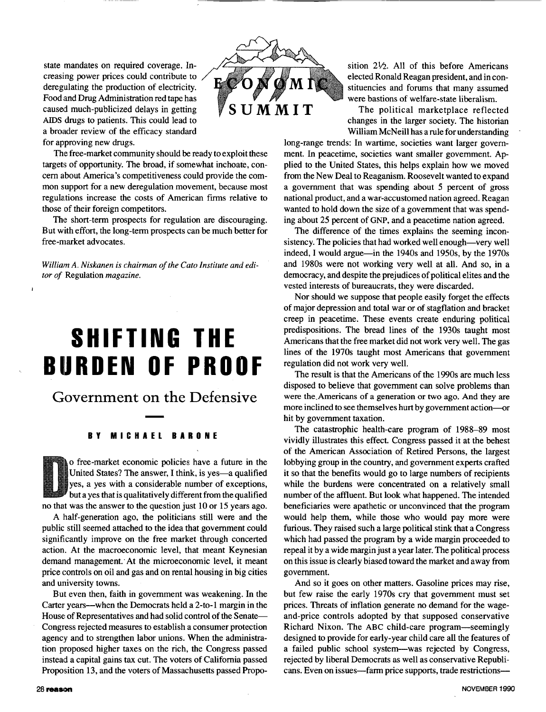state mandates on required coverage. Increasing power prices could contribute to deregulating the production of electricity. Food and Drug Administration red tape has caused much-publicized delays in getting  $\mathbb{S}$  **SUMMIT** AIDS drugs to patients. This could lead to a broader review of the efficacy standard for approving new drugs.



The free-market community should be ready to exploit these targets of opportunity. The broad, if somewhat inchoate, concern about America's competitiveness could provide the common support for a new deregulation movement, because most regulations increase the costs of American firms relative to those of their foreign competitors.

The short-term prospects for regulation are discouraging. But with effort, the long-term prospects can be much better for free-market advocates.

*William A. Niskanen is chairman of the Cato Institute and editor of* Regulation *magazine.* 

# **SHIFTING THE BURDEN OF PROOF**

Government on the Defensive

#### **BY MICHAEL BARONE**

o free-market economic policies have a future in the United States? The answer, I think, is yes-a qualified yes, a yes with a considerable number of exceptions, but a yes that is qualitatively different from the qualified no that was the answer to the question just 10 or 15 years ago.

A Ihalf-generation ago, the politicians still were and the public still seemed attached to the idea that government could significantly improve on the free market through concerted action. At the macroeconomic level, that meant Keynesian demand management. At the microeconomic level, it meant price controls on oil and gas and on rental housing in big cities and university towns.

But even then, faith in government was weakening. In the Carter years-when the Democrats held a 2-to-1 margin in the House of Representatives and had solid control of the Senate-Congress rejected measures to establish a consumer protection agency and to strengthen labor unions. When the administration proposed higher taxes on the rich, the Congress passed instead a capital gains tax cut. The voters of California passed Proposition 13, and the voters of Massachusetts passed Proposition *2%.* All of this before Americans elected Ronald Reagan president, and in constituencies and forums that many assumed were bastions of welfare-state liberalism.

The political marketplace reflected changes in the larger society. The historian William McNeill has a rule for understanding

long-range trends: In wartime, societies want larger government. In peacetime, societies want smaller government. Applied to the United States, this helps explain how we moved from the New Deal to Reaganism. Roosevelt wanted to expand a government that was spending about *5* percent of gross national product, and a war-accustomed nation agreed. Reagan wanted to hold down the size of a government that was spending about 25 percent of GNP, and a peacetime nation agreed.

The difference of the times explains the seeming inconsistency. The policies that had worked well enough—very well indeed, I would argue—in the 1940s and 1950s, by the 1970s and 1980s were not working very well at all. And so, in a democracy, and despite the prejudices of political elites and the vested interests of bureaucrats, they were discarded.

Nor should we suppose that people easily forget the effects of major depression and total war or of stagflation and bracket creep in peacetime. These events create enduring political predispositions. The bread lines of the 1930s taught most Americans that the free market did not work very well. The gas lines of the 1970s taught most Americans that government regulation did not work very well.

The result is that the Americans of the 1990s are much less disposed to believe that government can solve problems than were the.Americans **of** a generation or **two** ago. **And** they are more inclined to see themselves hurt by government action-or hit by government taxation.

The catastrophic health-care program of 1988-89 most vividly illustrates this effect. Congress passed it at the behest of the American Association of Retired Persons, the largest lobbying group in the country, and government experts crafted it so that the benefits would go to large numbers of recipients while the burdens were concentrated on a relatively small number of the affluent. But look what happened. The intended beneficiaries were apathetic or unconvinced that the program would help them, while those who would pay more were furious. They raised such a large political stink that a Congress which had passed the program by a wide margin proceeded to repeal it by a wide margin just a year later. The political process on this issue is clearly biased toward the market and away from government.

And so it goes on other matters. Gasoline prices may rise, but few raise the early 1970s cry that government must set prices. Threats of inflation generate no demand for the wageand-price controls adopted by that supposed conservative Richard Nixon. The ABC child-care program-seemingly designed to provide for early-year child care all the features of a failed public school system-was rejected by Congress, rejected by liberal Democrats as well as conservative Republicans. Even on issues-farm price supports, trade restrictions--

*I*